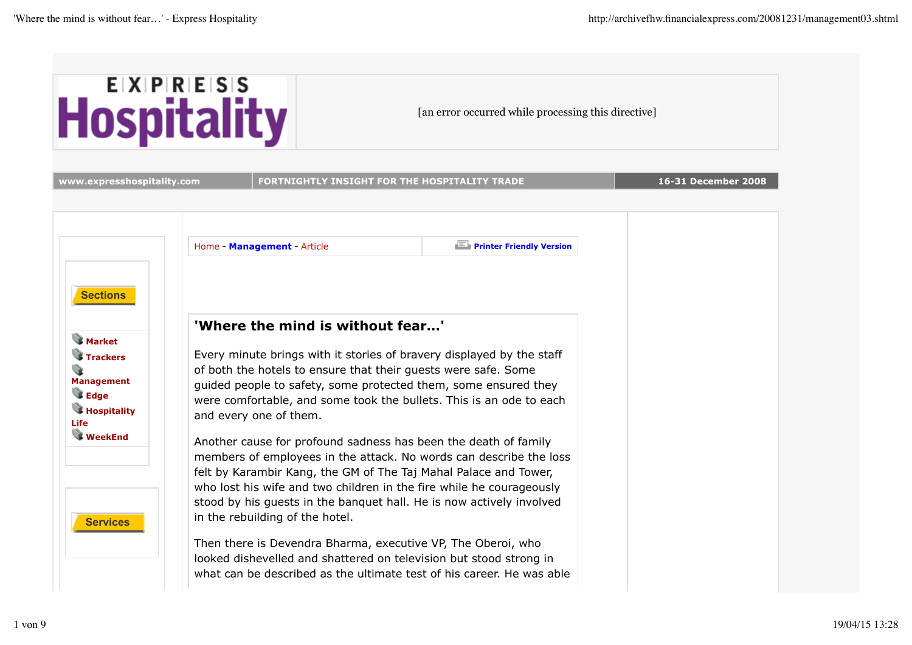

[an error occurred while processing this directive]

| www.expresshospitality.com                                                                                                   |  | FORTNIGHTLY INSIGHT FOR THE HOSPITALITY TRADE              |                                                                                                                                                                                                                                                                                                                                                                                                                                                                                                                                                                          | 16-31 December 2008 |
|------------------------------------------------------------------------------------------------------------------------------|--|------------------------------------------------------------|--------------------------------------------------------------------------------------------------------------------------------------------------------------------------------------------------------------------------------------------------------------------------------------------------------------------------------------------------------------------------------------------------------------------------------------------------------------------------------------------------------------------------------------------------------------------------|---------------------|
|                                                                                                                              |  |                                                            |                                                                                                                                                                                                                                                                                                                                                                                                                                                                                                                                                                          |                     |
|                                                                                                                              |  | Home - Management - Article                                | <b>Printer Friendly Version</b>                                                                                                                                                                                                                                                                                                                                                                                                                                                                                                                                          |                     |
| <b>Sections</b><br><b>Market</b><br><b>Trackers</b><br><b>Management</b><br><b>Edge</b><br><b>Hospitality</b><br><b>Life</b> |  | 'Where the mind is without fear'<br>and every one of them. | Every minute brings with it stories of bravery displayed by the staff<br>of both the hotels to ensure that their guests were safe. Some<br>guided people to safety, some protected them, some ensured they<br>were comfortable, and some took the bullets. This is an ode to each                                                                                                                                                                                                                                                                                        |                     |
| <b>WeekEnd</b><br><b>Services</b>                                                                                            |  | in the rebuilding of the hotel.                            | Another cause for profound sadness has been the death of family<br>members of employees in the attack. No words can describe the loss<br>felt by Karambir Kang, the GM of The Taj Mahal Palace and Tower,<br>who lost his wife and two children in the fire while he courageously<br>stood by his guests in the banquet hall. He is now actively involved<br>Then there is Devendra Bharma, executive VP, The Oberoi, who<br>looked dishevelled and shattered on television but stood strong in<br>what can be described as the ultimate test of his career. He was able |                     |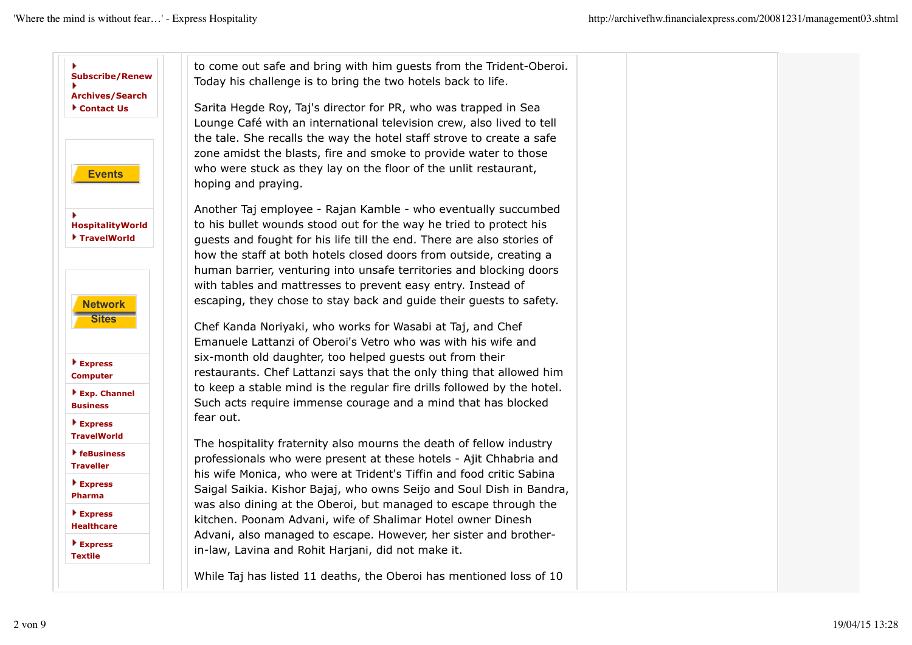| <b>Subscribe/Renew</b>                                          | to come out safe and bring with him guests from the Trident-Oberoi.<br>Today his challenge is to bring the two hotels back to life.                                                                                                                                                                                                                                                                                         |  |  |
|-----------------------------------------------------------------|-----------------------------------------------------------------------------------------------------------------------------------------------------------------------------------------------------------------------------------------------------------------------------------------------------------------------------------------------------------------------------------------------------------------------------|--|--|
| <b>Archives/Search</b><br>Contact Us                            | Sarita Hegde Roy, Taj's director for PR, who was trapped in Sea<br>Lounge Café with an international television crew, also lived to tell<br>the tale. She recalls the way the hotel staff strove to create a safe<br>zone amidst the blasts, fire and smoke to provide water to those                                                                                                                                       |  |  |
| <b>Events</b>                                                   | who were stuck as they lay on the floor of the unlit restaurant,<br>hoping and praying.                                                                                                                                                                                                                                                                                                                                     |  |  |
| <b>HospitalityWorld</b><br>TravelWorld                          | Another Taj employee - Rajan Kamble - who eventually succumbed<br>to his bullet wounds stood out for the way he tried to protect his<br>guests and fought for his life till the end. There are also stories of<br>how the staff at both hotels closed doors from outside, creating a<br>human barrier, venturing into unsafe territories and blocking doors<br>with tables and mattresses to prevent easy entry. Instead of |  |  |
| <b>Network</b><br><b>Sites</b><br>$\blacktriangleright$ Express | escaping, they chose to stay back and guide their guests to safety.<br>Chef Kanda Noriyaki, who works for Wasabi at Taj, and Chef<br>Emanuele Lattanzi of Oberoi's Vetro who was with his wife and<br>six-month old daughter, too helped guests out from their                                                                                                                                                              |  |  |
| <b>Computer</b>                                                 | restaurants. Chef Lattanzi says that the only thing that allowed him<br>to keep a stable mind is the regular fire drills followed by the hotel.                                                                                                                                                                                                                                                                             |  |  |
| Exp. Channel<br><b>Business</b>                                 | Such acts require immense courage and a mind that has blocked                                                                                                                                                                                                                                                                                                                                                               |  |  |
| ▶ Express<br><b>TravelWorld</b>                                 | fear out.<br>The hospitality fraternity also mourns the death of fellow industry                                                                                                                                                                                                                                                                                                                                            |  |  |
| $\blacktriangleright$ feBusiness<br><b>Traveller</b>            | professionals who were present at these hotels - Ajit Chhabria and                                                                                                                                                                                                                                                                                                                                                          |  |  |
| $\blacktriangleright$ Express<br><b>Pharma</b>                  | his wife Monica, who were at Trident's Tiffin and food critic Sabina<br>Saigal Saikia. Kishor Bajaj, who owns Seijo and Soul Dish in Bandra,                                                                                                                                                                                                                                                                                |  |  |
| $\blacktriangleright$ Express<br><b>Healthcare</b>              | was also dining at the Oberoi, but managed to escape through the<br>kitchen. Poonam Advani, wife of Shalimar Hotel owner Dinesh                                                                                                                                                                                                                                                                                             |  |  |
| $\blacktriangleright$ Express<br><b>Textile</b>                 | Advani, also managed to escape. However, her sister and brother-<br>in-law, Lavina and Rohit Harjani, did not make it.                                                                                                                                                                                                                                                                                                      |  |  |
|                                                                 | While Taj has listed 11 deaths, the Oberoi has mentioned loss of 10                                                                                                                                                                                                                                                                                                                                                         |  |  |
|                                                                 |                                                                                                                                                                                                                                                                                                                                                                                                                             |  |  |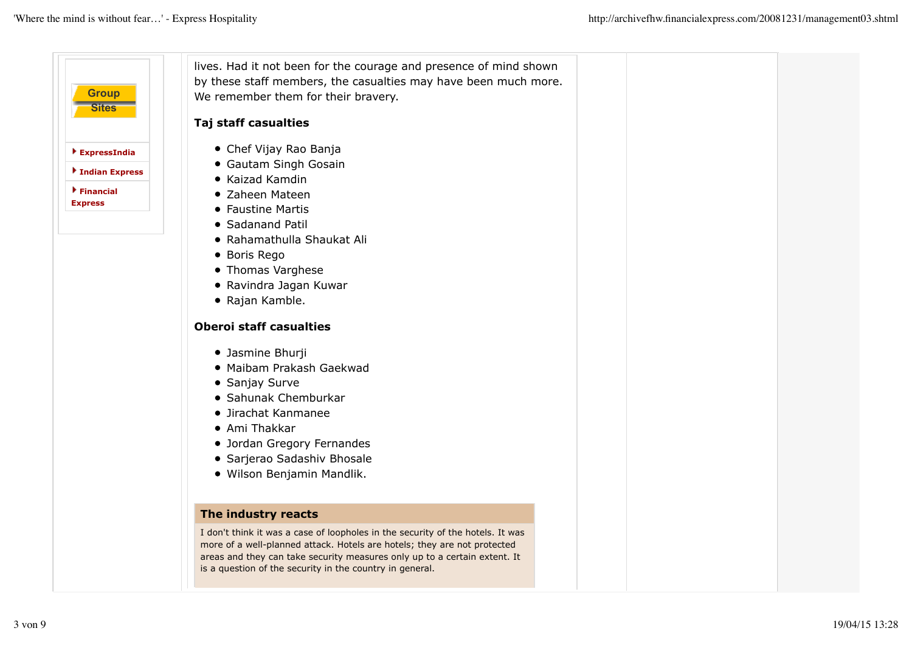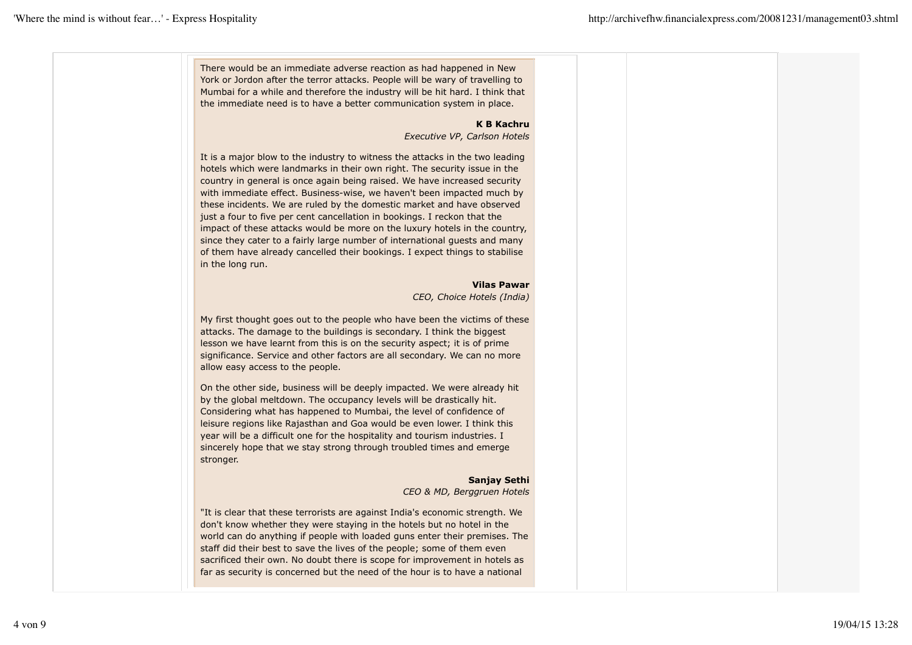There would be an immediate adverse reaction as had happened in New York or Jordon after the terror attacks. People will be wary of travelling to Mumbai for a while and therefore the industry will be hit hard. I think that the immediate need is to have a better communication system in place.

## **K B Kachru**

*Executive VP, Carlson Hotels*

It is a major blow to the industry to witness the attacks in the two leading hotels which were landmarks in their own right. The security issue in the country in general is once again being raised. We have increased security with immediate effect. Business-wise, we haven't been impacted much by these incidents. We are ruled by the domestic market and have observed just a four to five per cent cancellation in bookings. I reckon that the impact of these attacks would be more on the luxury hotels in the country, since they cater to a fairly large number of international guests and many of them have already cancelled their bookings. I expect things to stabilise in the long run.

> **Vilas Pawar** *CEO, Choice Hotels (India)*

My first thought goes out to the people who have been the victims of these attacks. The damage to the buildings is secondary. I think the biggest lesson we have learnt from this is on the security aspect; it is of prime significance. Service and other factors are all secondary. We can no more allow easy access to the people.

On the other side, business will be deeply impacted. We were already hit by the global meltdown. The occupancy levels will be drastically hit. Considering what has happened to Mumbai, the level of confidence of leisure regions like Rajasthan and Goa would be even lower. I think this year will be a difficult one for the hospitality and tourism industries. I sincerely hope that we stay strong through troubled times and emerge stronger.

# **Sanjay Sethi**

*CEO & MD, Berggruen Hotels*

"It is clear that these terrorists are against India's economic strength. We don't know whether they were staying in the hotels but no hotel in the world can do anything if people with loaded guns enter their premises. The staff did their best to save the lives of the people; some of them even sacrificed their own. No doubt there is scope for improvement in hotels as far as security is concerned but the need of the hour is to have a national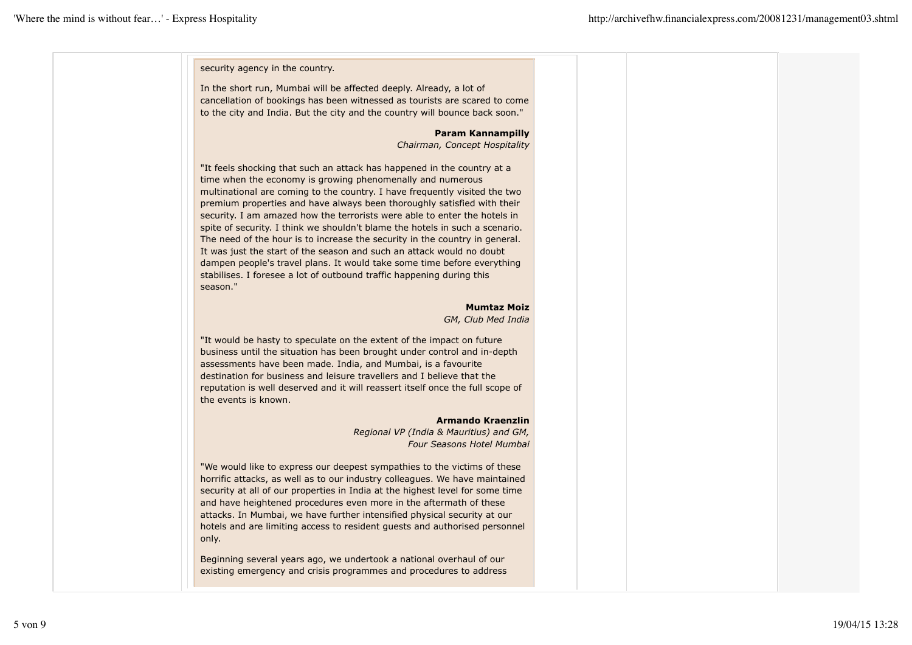security agency in the country.

In the short run, Mumbai will be affected deeply. Already, a lot of cancellation of bookings has been witnessed as tourists are scared to come to the city and India. But the city and the country will bounce back soon."

**Param Kannampilly**

*Chairman, Concept Hospitality*

"It feels shocking that such an attack has happened in the country at a time when the economy is growing phenomenally and numerous multinational are coming to the country. I have frequently visited the two premium properties and have always been thoroughly satisfied with their security. I am amazed how the terrorists were able to enter the hotels in spite of security. I think we shouldn't blame the hotels in such a scenario. The need of the hour is to increase the security in the country in general. It was just the start of the season and such an attack would no doubt dampen people's travel plans. It would take some time before everything stabilises. I foresee a lot of outbound traffic happening during this season."

> **Mumtaz Moiz** *GM, Club Med India*

"It would be hasty to speculate on the extent of the impact on future business until the situation has been brought under control and in-depth assessments have been made. India, and Mumbai, is a favourite destination for business and leisure travellers and I believe that the reputation is well deserved and it will reassert itself once the full scope of the events is known.

#### **Armando Kraenzlin**

*Regional VP (India & Mauritius) and GM, Four Seasons Hotel Mumbai*

"We would like to express our deepest sympathies to the victims of these horrific attacks, as well as to our industry colleagues. We have maintained security at all of our properties in India at the highest level for some time and have heightened procedures even more in the aftermath of these attacks. In Mumbai, we have further intensified physical security at our hotels and are limiting access to resident guests and authorised personnel only.

Beginning several years ago, we undertook a national overhaul of our existing emergency and crisis programmes and procedures to address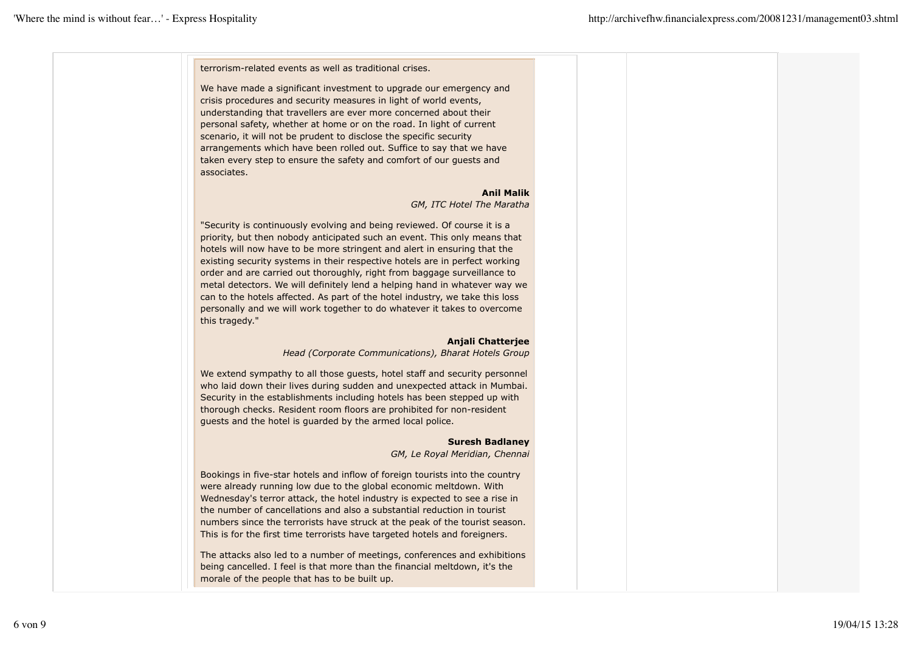terrorism-related events as well as traditional crises.

We have made a significant investment to upgrade our emergency and crisis procedures and security measures in light of world events, understanding that travellers are ever more concerned about their personal safety, whether at home or on the road. In light of current scenario, it will not be prudent to disclose the specific security arrangements which have been rolled out. Suffice to say that we have taken every step to ensure the safety and comfort of our guests and associates.

#### **Anil Malik**

*GM, ITC Hotel The Maratha*

"Security is continuously evolving and being reviewed. Of course it is a priority, but then nobody anticipated such an event. This only means that hotels will now have to be more stringent and alert in ensuring that the existing security systems in their respective hotels are in perfect working order and are carried out thoroughly, right from baggage surveillance to metal detectors. We will definitely lend a helping hand in whatever way we can to the hotels affected. As part of the hotel industry, we take this loss personally and we will work together to do whatever it takes to overcome this tragedy."

### **Anjali Chatterjee**

*Head (Corporate Communications), Bharat Hotels Group*

We extend sympathy to all those guests, hotel staff and security personnel who laid down their lives during sudden and unexpected attack in Mumbai. Security in the establishments including hotels has been stepped up with thorough checks. Resident room floors are prohibited for non-resident guests and the hotel is guarded by the armed local police.

### **Suresh Badlaney**

*GM, Le Royal Meridian, Chennai*

Bookings in five-star hotels and inflow of foreign tourists into the country were already running low due to the global economic meltdown. With Wednesday's terror attack, the hotel industry is expected to see a rise in the number of cancellations and also a substantial reduction in tourist numbers since the terrorists have struck at the peak of the tourist season. This is for the first time terrorists have targeted hotels and foreigners.

The attacks also led to a number of meetings, conferences and exhibitions being cancelled. I feel is that more than the financial meltdown, it's the morale of the people that has to be built up.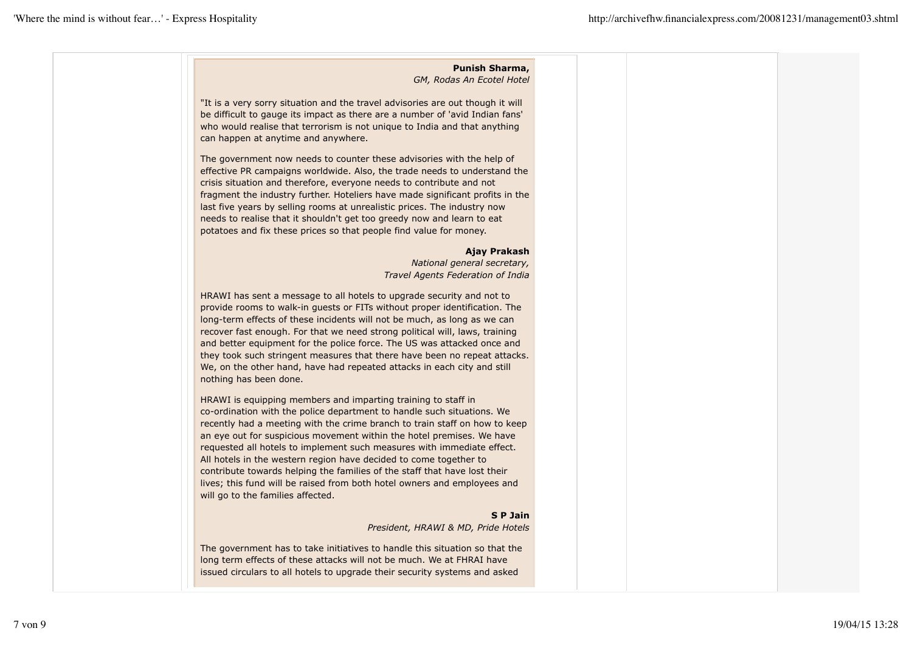# **Punish Sharma,** *GM, Rodas An Ecotel Hotel* "It is a very sorry situation and the travel advisories are out though it will be difficult to gauge its impact as there are a number of 'avid Indian fans' who would realise that terrorism is not unique to India and that anything can happen at anytime and anywhere. The government now needs to counter these advisories with the help of effective PR campaigns worldwide. Also, the trade needs to understand the crisis situation and therefore, everyone needs to contribute and not fragment the industry further. Hoteliers have made significant profits in the last five years by selling rooms at unrealistic prices. The industry now needs to realise that it shouldn't get too greedy now and learn to eat potatoes and fix these prices so that people find value for money. **Ajay Prakash** *National general secretary, Travel Agents Federation of India* HRAWI has sent a message to all hotels to upgrade security and not to provide rooms to walk-in guests or FITs without proper identification. The long-term effects of these incidents will not be much, as long as we can recover fast enough. For that we need strong political will, laws, training and better equipment for the police force. The US was attacked once and they took such stringent measures that there have been no repeat attacks. We, on the other hand, have had repeated attacks in each city and still nothing has been done. HRAWI is equipping members and imparting training to staff in co-ordination with the police department to handle such situations. We recently had a meeting with the crime branch to train staff on how to keep an eye out for suspicious movement within the hotel premises. We have requested all hotels to implement such measures with immediate effect. All hotels in the western region have decided to come together to contribute towards helping the families of the staff that have lost their lives; this fund will be raised from both hotel owners and employees and

### **S P Jain**

*President, HRAWI & MD, Pride Hotels*

The government has to take initiatives to handle this situation so that the long term effects of these attacks will not be much. We at FHRAI have issued circulars to all hotels to upgrade their security systems and asked

will go to the families affected.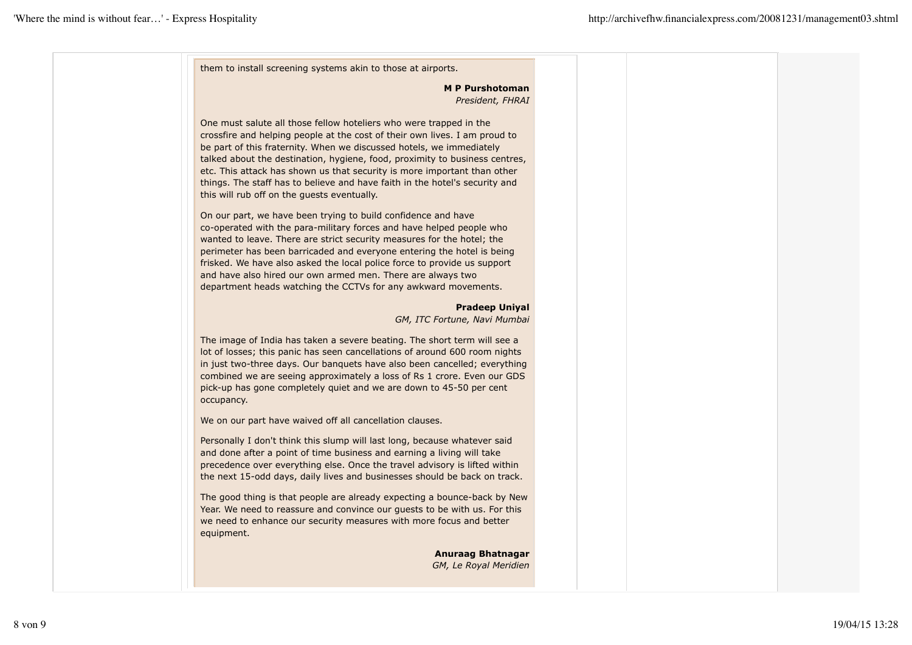them to install screening systems akin to those at airports.

**M P Purshotoman** *President, FHRAI*

One must salute all those fellow hoteliers who were trapped in the crossfire and helping people at the cost of their own lives. I am proud to be part of this fraternity. When we discussed hotels, we immediately talked about the destination, hygiene, food, proximity to business centres, etc. This attack has shown us that security is more important than other things. The staff has to believe and have faith in the hotel's security and this will rub off on the guests eventually.

On our part, we have been trying to build confidence and have co-operated with the para-military forces and have helped people who wanted to leave. There are strict security measures for the hotel; the perimeter has been barricaded and everyone entering the hotel is being frisked. We have also asked the local police force to provide us support and have also hired our own armed men. There are always two department heads watching the CCTVs for any awkward movements.

#### **Pradeep Uniyal**

*GM, ITC Fortune, Navi Mumbai*

The image of India has taken a severe beating. The short term will see a lot of losses; this panic has seen cancellations of around 600 room nights in just two-three days. Our banquets have also been cancelled; everything combined we are seeing approximately a loss of Rs 1 crore. Even our GDS pick-up has gone completely quiet and we are down to 45-50 per cent occupancy.

We on our part have waived off all cancellation clauses.

Personally I don't think this slump will last long, because whatever said and done after a point of time business and earning a living will take precedence over everything else. Once the travel advisory is lifted within the next 15-odd days, daily lives and businesses should be back on track.

The good thing is that people are already expecting a bounce-back by New Year. We need to reassure and convince our guests to be with us. For this we need to enhance our security measures with more focus and better equipment.

> **Anuraag Bhatnagar** *GM, Le Royal Meridien*